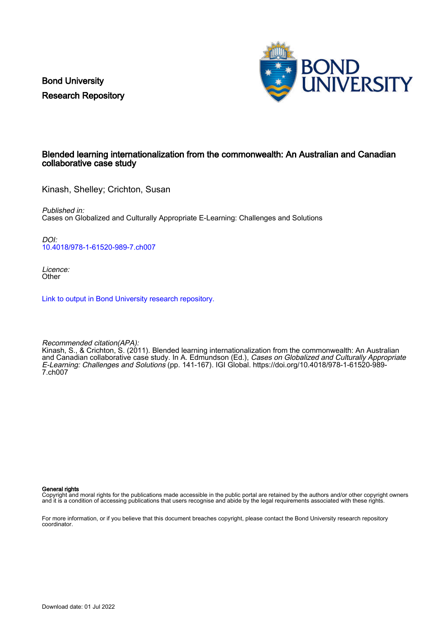Bond University Research Repository



#### Blended learning internationalization from the commonwealth: An Australian and Canadian collaborative case study

Kinash, Shelley; Crichton, Susan

Published in: Cases on Globalized and Culturally Appropriate E-Learning: Challenges and Solutions

DOI: [10.4018/978-1-61520-989-7.ch007](https://doi.org/10.4018/978-1-61520-989-7.ch007)

Licence: **Other** 

[Link to output in Bond University research repository.](https://research.bond.edu.au/en/publications/dd9d4de5-ef6e-4553-9383-474f0ad59377)

Recommended citation(APA):

Kinash, S., & Crichton, S. (2011). Blended learning internationalization from the commonwealth: An Australian and Canadian collaborative case study. In A. Edmundson (Ed.), Cases on Globalized and Culturally Appropriate E-Learning: Challenges and Solutions (pp. 141-167). IGI Global. [https://doi.org/10.4018/978-1-61520-989-](https://doi.org/10.4018/978-1-61520-989-7.ch007) [7.ch007](https://doi.org/10.4018/978-1-61520-989-7.ch007)

General rights

Copyright and moral rights for the publications made accessible in the public portal are retained by the authors and/or other copyright owners and it is a condition of accessing publications that users recognise and abide by the legal requirements associated with these rights.

For more information, or if you believe that this document breaches copyright, please contact the Bond University research repository coordinator.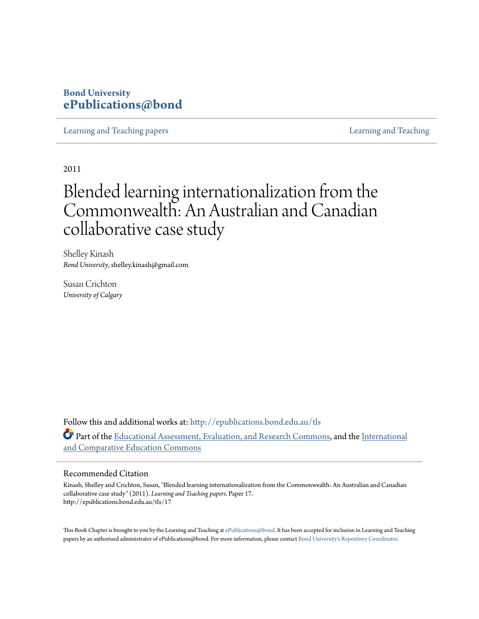#### **Bond University [ePublications@bond](http://epublications.bond.edu.au?utm_source=epublications.bond.edu.au%2Ftls%2F17&utm_medium=PDF&utm_campaign=PDFCoverPages)**

[Learning and Teaching papers](http://epublications.bond.edu.au/tls?utm_source=epublications.bond.edu.au%2Ftls%2F17&utm_medium=PDF&utm_campaign=PDFCoverPages) [Learning and Teaching](http://epublications.bond.edu.au/teachingandlearning?utm_source=epublications.bond.edu.au%2Ftls%2F17&utm_medium=PDF&utm_campaign=PDFCoverPages)

2011

### Blended learning internationalization from the Commonwealth: An Australian and Canadian collaborative case study

Shelley Kinash *Bond University*, shelley.kinash@gmail.com

Susan Crichton *University of Calgary*

Follow this and additional works at: [http://epublications.bond.edu.au/tls](http://epublications.bond.edu.au/tls?utm_source=epublications.bond.edu.au%2Ftls%2F17&utm_medium=PDF&utm_campaign=PDFCoverPages) Part of the [Educational Assessment, Evaluation, and Research Commons,](http://network.bepress.com/hgg/discipline/796?utm_source=epublications.bond.edu.au%2Ftls%2F17&utm_medium=PDF&utm_campaign=PDFCoverPages) and the [International](http://network.bepress.com/hgg/discipline/797?utm_source=epublications.bond.edu.au%2Ftls%2F17&utm_medium=PDF&utm_campaign=PDFCoverPages) [and Comparative Education Commons](http://network.bepress.com/hgg/discipline/797?utm_source=epublications.bond.edu.au%2Ftls%2F17&utm_medium=PDF&utm_campaign=PDFCoverPages)

#### Recommended Citation

Kinash, Shelley and Crichton, Susan, "Blended learning internationalization from the Commonwealth: An Australian and Canadian collaborative case study" (2011). *Learning and Teaching papers.* Paper 17. http://epublications.bond.edu.au/tls/17

This Book Chapter is brought to you by the Learning and Teaching at [ePublications@bond](http://epublications.bond.edu.au). It has been accepted for inclusion in Learning and Teaching papers by an authorized administrator of ePublications@bond. For more information, please contact [Bond University's Repository Coordinator.](mailto:acass@bond.edu.au)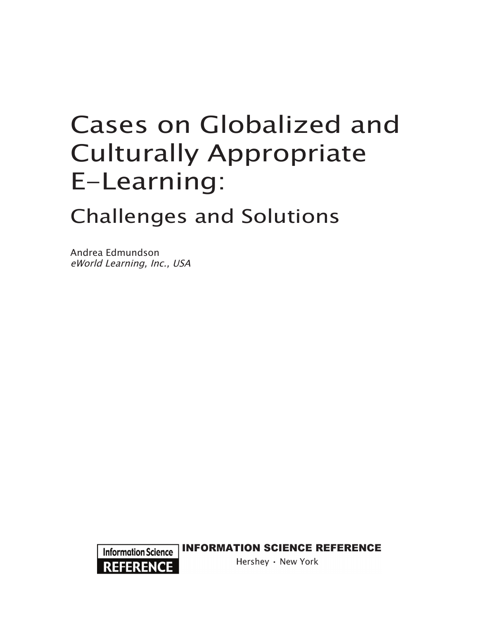# Cases on Globalized and Culturally Appropriate E-Learning:

# Challenges and Solutions

Andrea Edmundson eWorld Learning, Inc., USA



**INFORMATION SCIENCE REFERENCE** 

Hershey · New York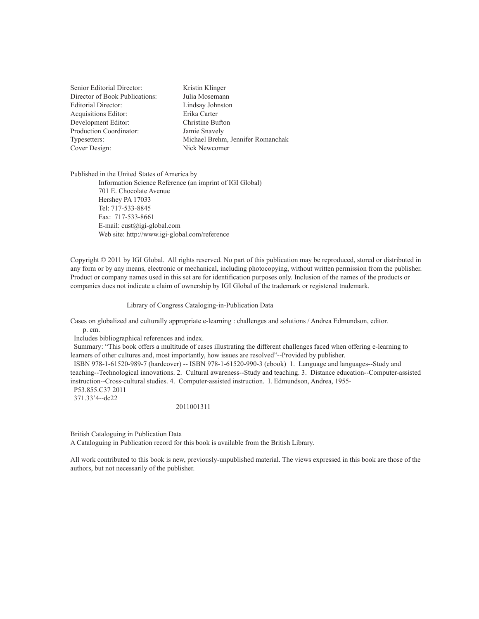| Senior Editorial Director:     | Kristin Klinger                   |
|--------------------------------|-----------------------------------|
| Director of Book Publications: | Julia Mosemann                    |
| <b>Editorial Director:</b>     | Lindsay Johnston                  |
| <b>Acquisitions Editor:</b>    | Erika Carter                      |
| Development Editor:            | Christine Bufton                  |
| Production Coordinator:        | Jamie Snavely                     |
| Typesetters:                   | Michael Brehm, Jennifer Romanchak |
| Cover Design:                  | Nick Newcomer                     |
|                                |                                   |

Published in the United States of America by Information Science Reference (an imprint of IGI Global) 701 E. Chocolate Avenue Hershey PA 17033 Tel: 717-533-8845 Fax: 717-533-8661 E-mail: cust@igi-global.com Web site: http://www.igi-global.com/reference

Copyright © 2011 by IGI Global. All rights reserved. No part of this publication may be reproduced, stored or distributed in any form or by any means, electronic or mechanical, including photocopying, without written permission from the publisher. Product or company names used in this set are for identification purposes only. Inclusion of the names of the products or companies does not indicate a claim of ownership by IGI Global of the trademark or registered trademark.

#### Library of Congress Cataloging-in-Publication Data

Cases on globalized and culturally appropriate e-learning : challenges and solutions / Andrea Edmundson, editor. p. cm.

Includes bibliographical references and index.

 Summary: "This book offers a multitude of cases illustrating the different challenges faced when offering e-learning to learners of other cultures and, most importantly, how issues are resolved"--Provided by publisher.

 ISBN 978-1-61520-989-7 (hardcover) -- ISBN 978-1-61520-990-3 (ebook) 1. Language and languages--Study and teaching--Technological innovations. 2. Cultural awareness--Study and teaching. 3. Distance education--Computer-assisted instruction--Cross-cultural studies. 4. Computer-assisted instruction. I. Edmundson, Andrea, 1955- P53.855.C37 2011

371.33'4--dc22

2011001311

British Cataloguing in Publication Data

A Cataloguing in Publication record for this book is available from the British Library.

All work contributed to this book is new, previously-unpublished material. The views expressed in this book are those of the authors, but not necessarily of the publisher.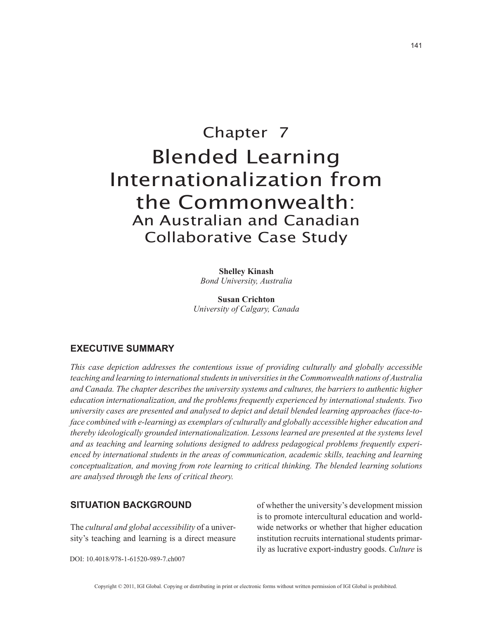## Chapter 7 Blended Learning Internationalization from the Commonwealth: An Australian and Canadian Collaborative Case Study

**Shelley Kinash** *Bond University, Australia*

**Susan Crichton** *University of Calgary, Canada*

#### **executive summaRy**

*This case depiction addresses the contentious issue of providing culturally and globally accessible teaching and learning to international students in universities in the Commonwealth nations of Australia and Canada. The chapter describes the university systems and cultures, the barriers to authentic higher education internationalization, and the problems frequently experienced by international students. Two university cases are presented and analysed to depict and detail blended learning approaches (face-toface combined with e-learning) as exemplars of culturally and globally accessible higher education and thereby ideologically grounded internationalization. Lessons learned are presented at the systems level and as teaching and learning solutions designed to address pedagogical problems frequently experienced by international students in the areas of communication, academic skills, teaching and learning conceptualization, and moving from rote learning to critical thinking. The blended learning solutions are analysed through the lens of critical theory.*

#### **situatiOn BacKGROunD**

The *cultural and global accessibility* of a university's teaching and learning is a direct measure of whether the university's development mission is to promote intercultural education and worldwide networks or whether that higher education institution recruits international students primarily as lucrative export-industry goods. *Culture* is

DOI: 10.4018/978-1-61520-989-7.ch007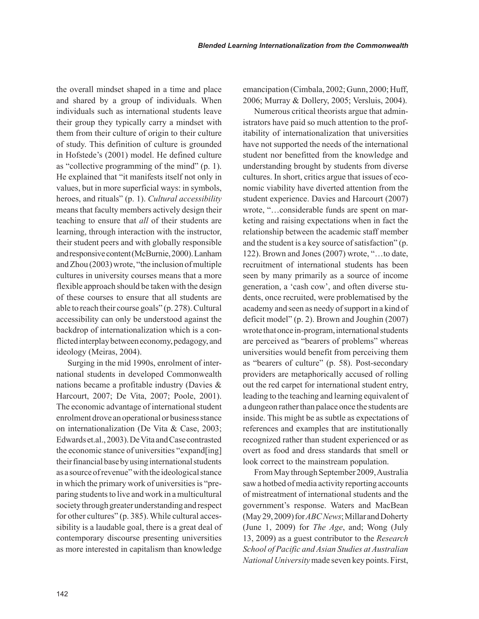the overall mindset shaped in a time and place and shared by a group of individuals. When individuals such as international students leave their group they typically carry a mindset with them from their culture of origin to their culture of study. This definition of culture is grounded in Hofstede's (2001) model. He defined culture as "collective programming of the mind" (p. 1). He explained that "it manifests itself not only in values, but in more superficial ways: in symbols, heroes, and rituals" (p. 1). *Cultural accessibility* means that faculty members actively design their teaching to ensure that *all* of their students are learning, through interaction with the instructor, their student peers and with globally responsible and responsive content (McBurnie, 2000). Lanham and Zhou (2003) wrote, "the inclusion of multiple cultures in university courses means that a more flexible approach should be taken with the design of these courses to ensure that all students are able to reach their course goals" (p. 278). Cultural accessibility can only be understood against the backdrop of internationalization which is a conflicted interplay between economy, pedagogy, and ideology (Meiras, 2004).

Surging in the mid 1990s, enrolment of international students in developed Commonwealth nations became a profitable industry (Davies & Harcourt, 2007; De Vita, 2007; Poole, 2001). The economic advantage of international student enrolment drove an operational or business stance on internationalization (De Vita & Case, 2003; Edwards et.al., 2003). De Vita and Case contrasted the economic stance of universities "expand[ing] their financial base by using international students as a source of revenue" with the ideological stance in which the primary work of universities is "preparing students to live and work in a multicultural society through greater understanding and respect for other cultures" (p. 385). While cultural accessibility is a laudable goal, there is a great deal of contemporary discourse presenting universities as more interested in capitalism than knowledge emancipation (Cimbala, 2002; Gunn, 2000; Huff, 2006; Murray & Dollery, 2005; Versluis, 2004).

Numerous critical theorists argue that administrators have paid so much attention to the profitability of internationalization that universities have not supported the needs of the international student nor benefitted from the knowledge and understanding brought by students from diverse cultures. In short, critics argue that issues of economic viability have diverted attention from the student experience. Davies and Harcourt (2007) wrote, "…considerable funds are spent on marketing and raising expectations when in fact the relationship between the academic staff member and the student is a key source of satisfaction" (p. 122). Brown and Jones (2007) wrote, "…to date, recruitment of international students has been seen by many primarily as a source of income generation, a 'cash cow', and often diverse students, once recruited, were problematised by the academy and seen as needy of support in a kind of deficit model" (p. 2). Brown and Joughin (2007) wrote that once in-program, international students are perceived as "bearers of problems" whereas universities would benefit from perceiving them as "bearers of culture" (p. 58). Post-secondary providers are metaphorically accused of rolling out the red carpet for international student entry, leading to the teaching and learning equivalent of a dungeon rather than palace once the students are inside. This might be as subtle as expectations of references and examples that are institutionally recognized rather than student experienced or as overt as food and dress standards that smell or look correct to the mainstream population.

From May through September 2009, Australia saw a hotbed of media activity reporting accounts of mistreatment of international students and the government's response. Waters and MacBean (May 29, 2009) for *ABC News*; Millar and Doherty (June 1, 2009) for *The Age*, and; Wong (July 13, 2009) as a guest contributor to the *Research School of Pacific and Asian Studies at Australian National University* made seven key points. First,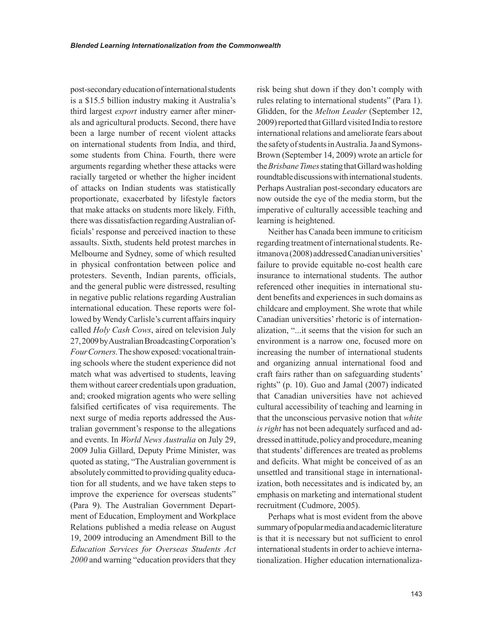post-secondary education of international students is a \$15.5 billion industry making it Australia's third largest *export* industry earner after minerals and agricultural products. Second, there have been a large number of recent violent attacks on international students from India, and third, some students from China. Fourth, there were arguments regarding whether these attacks were racially targeted or whether the higher incident of attacks on Indian students was statistically proportionate, exacerbated by lifestyle factors that make attacks on students more likely. Fifth, there was dissatisfaction regarding Australian officials' response and perceived inaction to these assaults. Sixth, students held protest marches in Melbourne and Sydney, some of which resulted in physical confrontation between police and protesters. Seventh, Indian parents, officials, and the general public were distressed, resulting in negative public relations regarding Australian international education. These reports were followed by Wendy Carlisle's current affairs inquiry called *Holy Cash Cows*, aired on television July 27, 2009 by Australian Broadcasting Corporation's *Four Corners.* The show exposed: vocational training schools where the student experience did not match what was advertised to students, leaving them without career credentials upon graduation, and; crooked migration agents who were selling falsified certificates of visa requirements. The next surge of media reports addressed the Australian government's response to the allegations and events. In *World News Australia* on July 29, 2009 Julia Gillard, Deputy Prime Minister, was quoted as stating, "The Australian government is absolutely committed to providing quality education for all students, and we have taken steps to improve the experience for overseas students" (Para 9). The Australian Government Department of Education, Employment and Workplace Relations published a media release on August 19, 2009 introducing an Amendment Bill to the *Education Services for Overseas Students Act 2000* and warning "education providers that they risk being shut down if they don't comply with rules relating to international students" (Para 1). Glidden, for the *Melton Leader* (September 12, 2009) reported that Gillard visited India to restore international relations and ameliorate fears about the safety of students in Australia. Ja and Symons-Brown (September 14, 2009) wrote an article for the *Brisbane Times* stating that Gillard was holding roundtable discussions with international students. Perhaps Australian post-secondary educators are now outside the eye of the media storm, but the imperative of culturally accessible teaching and learning is heightened.

Neither has Canada been immune to criticism regarding treatment of international students. Reitmanova (2008) addressed Canadian universities' failure to provide equitable no-cost health care insurance to international students. The author referenced other inequities in international student benefits and experiences in such domains as childcare and employment. She wrote that while Canadian universities' rhetoric is of internationalization, "...it seems that the vision for such an environment is a narrow one, focused more on increasing the number of international students and organizing annual international food and craft fairs rather than on safeguarding students' rights" (p. 10). Guo and Jamal (2007) indicated that Canadian universities have not achieved cultural accessibility of teaching and learning in that the unconscious pervasive notion that *white is right* has not been adequately surfaced and addressed in attitude, policy and procedure, meaning that students' differences are treated as problems and deficits. What might be conceived of as an unsettled and transitional stage in internationalization, both necessitates and is indicated by, an emphasis on marketing and international student recruitment (Cudmore, 2005).

Perhaps what is most evident from the above summary of popular media and academic literature is that it is necessary but not sufficient to enrol international students in order to achieve internationalization. Higher education internationaliza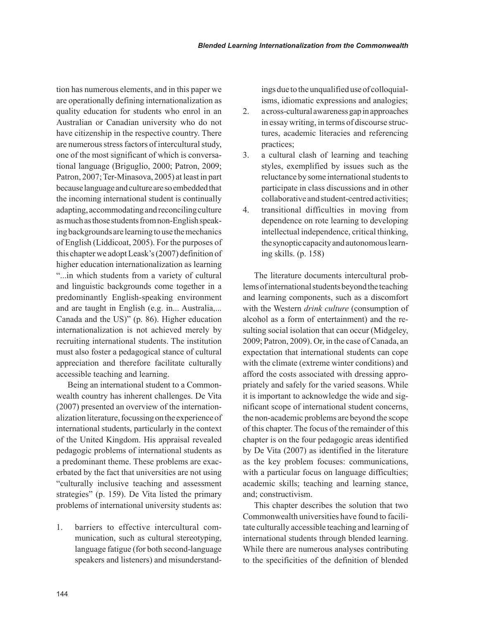tion has numerous elements, and in this paper we are operationally defining internationalization as quality education for students who enrol in an Australian or Canadian university who do not have citizenship in the respective country. There are numerous stress factors of intercultural study, one of the most significant of which is conversational language (Briguglio, 2000; Patron, 2009; Patron, 2007; Ter-Minasova, 2005) at least in part because language and culture are so embedded that the incoming international student is continually adapting, accommodating and reconciling culture as much as those students from non-English speaking backgrounds are learning to use the mechanics of English (Liddicoat, 2005). For the purposes of this chapter we adopt Leask's (2007) definition of higher education internationalization as learning "...in which students from a variety of cultural and linguistic backgrounds come together in a predominantly English-speaking environment and are taught in English (e.g. in... Australia,... Canada and the US)" (p. 86). Higher education internationalization is not achieved merely by recruiting international students. The institution must also foster a pedagogical stance of cultural appreciation and therefore facilitate culturally accessible teaching and learning.

Being an international student to a Commonwealth country has inherent challenges. De Vita (2007) presented an overview of the internationalization literature, focussing on the experience of international students, particularly in the context of the United Kingdom. His appraisal revealed pedagogic problems of international students as a predominant theme. These problems are exacerbated by the fact that universities are not using "culturally inclusive teaching and assessment strategies" (p. 159). De Vita listed the primary problems of international university students as:

1. barriers to effective intercultural communication, such as cultural stereotyping, language fatigue (for both second-language speakers and listeners) and misunderstandings due to the unqualified use of colloquialisms, idiomatic expressions and analogies;

- 2. a cross-cultural awareness gap in approaches in essay writing, in terms of discourse structures, academic literacies and referencing practices;
- 3. a cultural clash of learning and teaching styles, exemplified by issues such as the reluctance by some international students to participate in class discussions and in other collaborative and student-centred activities;
- 4. transitional difficulties in moving from dependence on rote learning to developing intellectual independence, critical thinking, the synoptic capacity and autonomous learning skills. (p. 158)

The literature documents intercultural problems of international students beyond the teaching and learning components, such as a discomfort with the Western *drink culture* (consumption of alcohol as a form of entertainment) and the resulting social isolation that can occur (Midgeley, 2009; Patron, 2009). Or, in the case of Canada, an expectation that international students can cope with the climate (extreme winter conditions) and afford the costs associated with dressing appropriately and safely for the varied seasons. While it is important to acknowledge the wide and significant scope of international student concerns, the non-academic problems are beyond the scope of this chapter. The focus of the remainder of this chapter is on the four pedagogic areas identified by De Vita (2007) as identified in the literature as the key problem focuses: communications, with a particular focus on language difficulties; academic skills; teaching and learning stance, and; constructivism.

This chapter describes the solution that two Commonwealth universities have found to facilitate culturally accessible teaching and learning of international students through blended learning. While there are numerous analyses contributing to the specificities of the definition of blended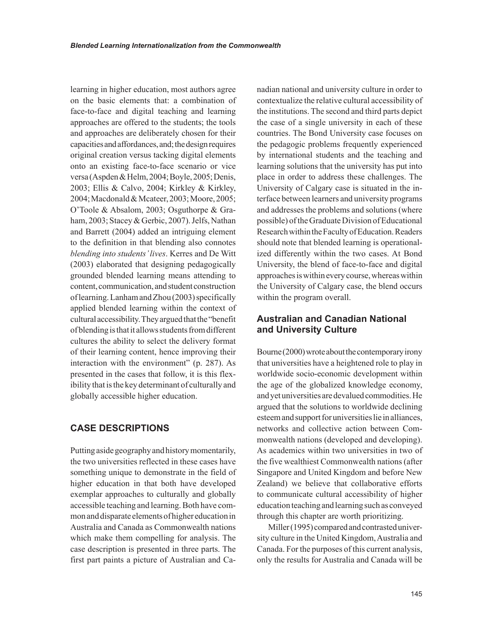learning in higher education, most authors agree on the basic elements that: a combination of face-to-face and digital teaching and learning approaches are offered to the students; the tools and approaches are deliberately chosen for their capacities and affordances, and; the design requires original creation versus tacking digital elements onto an existing face-to-face scenario or vice versa (Aspden & Helm, 2004; Boyle, 2005; Denis, 2003; Ellis & Calvo, 2004; Kirkley & Kirkley, 2004; Macdonald & Mcateer, 2003; Moore, 2005; O'Toole & Absalom, 2003; Osguthorpe & Graham, 2003; Stacey & Gerbic, 2007). Jelfs, Nathan and Barrett (2004) added an intriguing element to the definition in that blending also connotes *blending into students' lives*. Kerres and De Witt (2003) elaborated that designing pedagogically grounded blended learning means attending to content, communication, and student construction of learning. Lanham and Zhou (2003) specifically applied blended learning within the context of cultural accessibility. They argued that the "benefit of blending is that it allows students from different cultures the ability to select the delivery format of their learning content, hence improving their interaction with the environment" (p. 287). As presented in the cases that follow, it is this flexibility that is the key determinant of culturally and globally accessible higher education.

#### **case DescRiptiOns**

Putting aside geography and history momentarily, the two universities reflected in these cases have something unique to demonstrate in the field of higher education in that both have developed exemplar approaches to culturally and globally accessible teaching and learning. Both have common and disparate elements of higher education in Australia and Canada as Commonwealth nations which make them compelling for analysis. The case description is presented in three parts. The first part paints a picture of Australian and Canadian national and university culture in order to contextualize the relative cultural accessibility of the institutions. The second and third parts depict the case of a single university in each of these countries. The Bond University case focuses on the pedagogic problems frequently experienced by international students and the teaching and learning solutions that the university has put into place in order to address these challenges. The University of Calgary case is situated in the interface between learners and university programs and addresses the problems and solutions (where possible) of the Graduate Division of Educational Research within the Faculty of Education. Readers should note that blended learning is operationalized differently within the two cases. At Bond University, the blend of face-to-face and digital approaches is within every course, whereas within the University of Calgary case, the blend occurs within the program overall.

#### **australian and canadian national and university culture**

Bourne (2000) wrote about the contemporary irony that universities have a heightened role to play in worldwide socio-economic development within the age of the globalized knowledge economy, and yet universities are devalued commodities. He argued that the solutions to worldwide declining esteem and support for universities lie in alliances, networks and collective action between Commonwealth nations (developed and developing). As academics within two universities in two of the five wealthiest Commonwealth nations (after Singapore and United Kingdom and before New Zealand) we believe that collaborative efforts to communicate cultural accessibility of higher education teaching and learning such as conveyed through this chapter are worth prioritizing.

Miller (1995) compared and contrasted university culture in the United Kingdom, Australia and Canada. For the purposes of this current analysis, only the results for Australia and Canada will be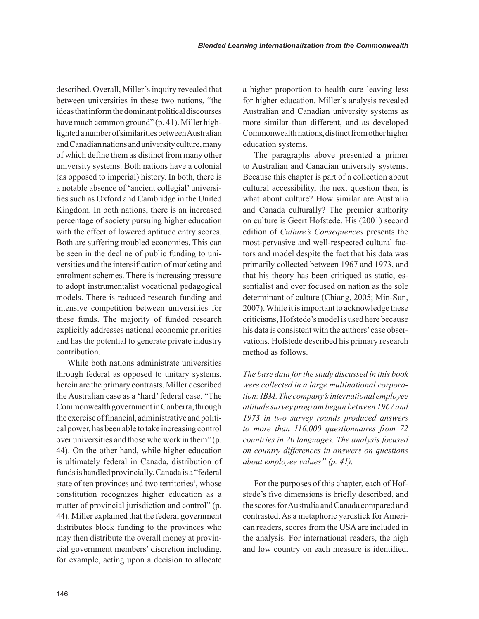described. Overall, Miller's inquiry revealed that between universities in these two nations, "the ideas that inform the dominant political discourses have much common ground" (p. 41). Miller highlighted a number of similarities between Australian and Canadian nations and university culture, many of which define them as distinct from many other university systems. Both nations have a colonial (as opposed to imperial) history. In both, there is a notable absence of 'ancient collegial' universities such as Oxford and Cambridge in the United Kingdom. In both nations, there is an increased percentage of society pursuing higher education with the effect of lowered aptitude entry scores. Both are suffering troubled economies. This can be seen in the decline of public funding to universities and the intensification of marketing and enrolment schemes. There is increasing pressure to adopt instrumentalist vocational pedagogical models. There is reduced research funding and intensive competition between universities for these funds. The majority of funded research explicitly addresses national economic priorities and has the potential to generate private industry contribution.

While both nations administrate universities through federal as opposed to unitary systems, herein are the primary contrasts. Miller described the Australian case as a 'hard' federal case. "The Commonwealth government in Canberra, through the exercise of financial, administrative and political power, has been able to take increasing control over universities and those who work in them" (p. 44). On the other hand, while higher education is ultimately federal in Canada, distribution of funds is handled provincially. Canada is a "federal state of ten provinces and two territories<sup>1</sup>, whose constitution recognizes higher education as a matter of provincial jurisdiction and control" (p. 44). Miller explained that the federal government distributes block funding to the provinces who may then distribute the overall money at provincial government members' discretion including, for example, acting upon a decision to allocate

a higher proportion to health care leaving less for higher education. Miller's analysis revealed Australian and Canadian university systems as more similar than different, and as developed Commonwealth nations, distinct from other higher education systems.

The paragraphs above presented a primer to Australian and Canadian university systems. Because this chapter is part of a collection about cultural accessibility, the next question then, is what about culture? How similar are Australia and Canada culturally? The premier authority on culture is Geert Hofstede. His (2001) second edition of *Culture's Consequences* presents the most-pervasive and well-respected cultural factors and model despite the fact that his data was primarily collected between 1967 and 1973, and that his theory has been critiqued as static, essentialist and over focused on nation as the sole determinant of culture (Chiang, 2005; Min-Sun, 2007). While it is important to acknowledge these criticisms, Hofstede's model is used here because his data is consistent with the authors' case observations. Hofstede described his primary research method as follows.

*The base data for the study discussed in this book were collected in a large multinational corporation: IBM. The company's international employee attitude survey program began between 1967 and 1973 in two survey rounds produced answers to more than 116,000 questionnaires from 72 countries in 20 languages. The analysis focused on country differences in answers on questions about employee values" (p. 41).*

For the purposes of this chapter, each of Hofstede's five dimensions is briefly described, and the scores for Australia and Canada compared and contrasted. As a metaphoric yardstick for American readers, scores from the USA are included in the analysis. For international readers, the high and low country on each measure is identified.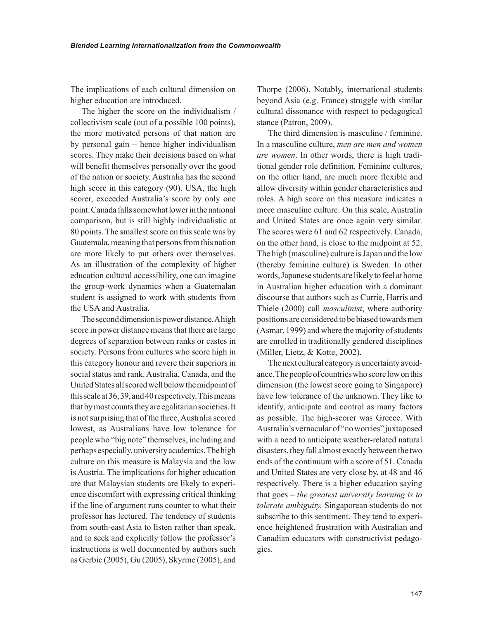The implications of each cultural dimension on higher education are introduced.

The higher the score on the individualism / collectivism scale (out of a possible 100 points), the more motivated persons of that nation are by personal gain – hence higher individualism scores. They make their decisions based on what will benefit themselves personally over the good of the nation or society. Australia has the second high score in this category (90). USA, the high scorer, exceeded Australia's score by only one point. Canada falls somewhat lower in the national comparison, but is still highly individualistic at 80 points. The smallest score on this scale was by Guatemala, meaning that persons from this nation are more likely to put others over themselves. As an illustration of the complexity of higher education cultural accessibility, one can imagine the group-work dynamics when a Guatemalan student is assigned to work with students from the USA and Australia.

The second dimension is power distance. A high score in power distance means that there are large degrees of separation between ranks or castes in society. Persons from cultures who score high in this category honour and revere their superiors in social status and rank. Australia, Canada, and the United States all scored well below the midpoint of this scale at 36, 39, and 40 respectively. This means that by most counts they are egalitarian societies. It is not surprising that of the three, Australia scored lowest, as Australians have low tolerance for people who "big note" themselves, including and perhaps especially, university academics. The high culture on this measure is Malaysia and the low is Austria. The implications for higher education are that Malaysian students are likely to experience discomfort with expressing critical thinking if the line of argument runs counter to what their professor has lectured. The tendency of students from south-east Asia to listen rather than speak, and to seek and explicitly follow the professor's instructions is well documented by authors such as Gerbic (2005), Gu (2005), Skyrme (2005), and

Thorpe (2006). Notably, international students beyond Asia (e.g. France) struggle with similar cultural dissonance with respect to pedagogical stance (Patron, 2009).

The third dimension is masculine / feminine. In a masculine culture, *men are men and women are women*. In other words, there is high traditional gender role definition. Feminine cultures, on the other hand, are much more flexible and allow diversity within gender characteristics and roles. A high score on this measure indicates a more masculine culture. On this scale, Australia and United States are once again very similar. The scores were 61 and 62 respectively. Canada, on the other hand, is close to the midpoint at 52. The high (masculine) culture is Japan and the low (thereby feminine culture) is Sweden. In other words, Japanese students are likely to feel at home in Australian higher education with a dominant discourse that authors such as Currie, Harris and Thiele (2000) call *masculinist*, where authority positions are considered to be biased towards men (Asmar, 1999) and where the majority of students are enrolled in traditionally gendered disciplines (Miller, Lietz, & Kotte, 2002).

The next cultural category is uncertainty avoidance. The people of countries who score low on this dimension (the lowest score going to Singapore) have low tolerance of the unknown. They like to identify, anticipate and control as many factors as possible. The high-scorer was Greece. With Australia's vernacular of "no worries" juxtaposed with a need to anticipate weather-related natural disasters, they fall almost exactly between the two ends of the continuum with a score of 51. Canada and United States are very close by, at 48 and 46 respectively. There is a higher education saying that goes – *the greatest university learning is to tolerate ambiguity.* Singaporean students do not subscribe to this sentiment. They tend to experience heightened frustration with Australian and Canadian educators with constructivist pedagogies.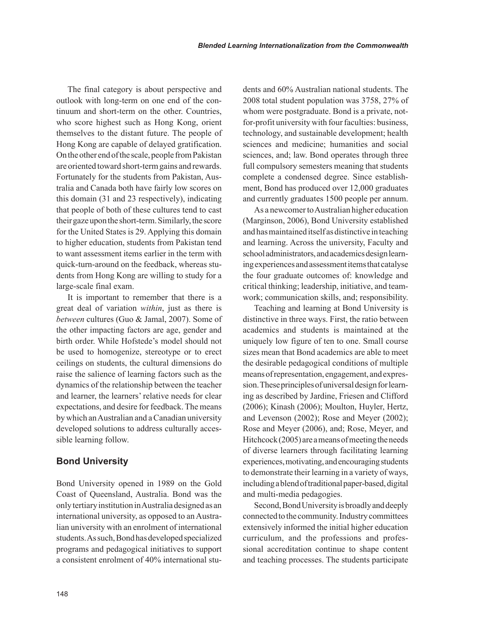The final category is about perspective and outlook with long-term on one end of the continuum and short-term on the other. Countries, who score highest such as Hong Kong, orient themselves to the distant future. The people of Hong Kong are capable of delayed gratification. On the other end of the scale, people from Pakistan are oriented toward short-term gains and rewards. Fortunately for the students from Pakistan, Australia and Canada both have fairly low scores on this domain (31 and 23 respectively), indicating that people of both of these cultures tend to cast their gaze upon the short-term. Similarly, the score for the United States is 29. Applying this domain to higher education, students from Pakistan tend to want assessment items earlier in the term with quick-turn-around on the feedback, whereas students from Hong Kong are willing to study for a large-scale final exam.

It is important to remember that there is a great deal of variation *within*, just as there is *between* cultures (Guo & Jamal, 2007). Some of the other impacting factors are age, gender and birth order. While Hofstede's model should not be used to homogenize, stereotype or to erect ceilings on students, the cultural dimensions do raise the salience of learning factors such as the dynamics of the relationship between the teacher and learner, the learners' relative needs for clear expectations, and desire for feedback. The means by which an Australian and a Canadian university developed solutions to address culturally accessible learning follow.

#### **Bond University**

Bond University opened in 1989 on the Gold Coast of Queensland, Australia. Bond was the only tertiary institution in Australia designed as an international university, as opposed to an Australian university with an enrolment of international students. As such, Bond has developed specialized programs and pedagogical initiatives to support a consistent enrolment of 40% international students and 60% Australian national students. The 2008 total student population was 3758, 27% of whom were postgraduate. Bond is a private, notfor-profit university with four faculties: business, technology, and sustainable development; health sciences and medicine; humanities and social sciences, and; law. Bond operates through three full compulsory semesters meaning that students complete a condensed degree. Since establishment, Bond has produced over 12,000 graduates and currently graduates 1500 people per annum.

As a newcomer to Australian higher education (Marginson, 2006), Bond University established and has maintained itself as distinctive in teaching and learning. Across the university, Faculty and school administrators, and academics design learning experiences and assessment items that catalyse the four graduate outcomes of: knowledge and critical thinking; leadership, initiative, and teamwork; communication skills, and; responsibility.

Teaching and learning at Bond University is distinctive in three ways. First, the ratio between academics and students is maintained at the uniquely low figure of ten to one. Small course sizes mean that Bond academics are able to meet the desirable pedagogical conditions of multiple means of representation, engagement, and expression. These principles of universal design for learning as described by Jardine, Friesen and Clifford (2006); Kinash (2006); Moulton, Huyler, Hertz, and Levenson (2002); Rose and Meyer (2002); Rose and Meyer (2006), and; Rose, Meyer, and Hitchcock (2005) are a means of meeting the needs of diverse learners through facilitating learning experiences, motivating, and encouraging students to demonstrate their learning in a variety of ways, including a blend of traditional paper-based, digital and multi-media pedagogies.

Second, Bond University is broadly and deeply connected to the community. Industry committees extensively informed the initial higher education curriculum, and the professions and professional accreditation continue to shape content and teaching processes. The students participate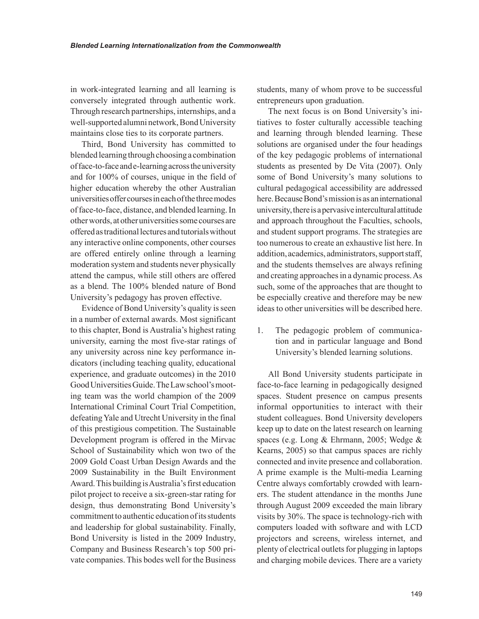in work-integrated learning and all learning is conversely integrated through authentic work. Through research partnerships, internships, and a well-supported alumni network, Bond University maintains close ties to its corporate partners.

Third, Bond University has committed to blended learning through choosing a combination of face-to-face and e-learning across the university and for 100% of courses, unique in the field of higher education whereby the other Australian universities offer courses in each of the three modes of face-to-face, distance, and blended learning. In other words, at other universities some courses are offered as traditional lectures and tutorials without any interactive online components, other courses are offered entirely online through a learning moderation system and students never physically attend the campus, while still others are offered as a blend. The 100% blended nature of Bond University's pedagogy has proven effective.

Evidence of Bond University's quality is seen in a number of external awards. Most significant to this chapter, Bond is Australia's highest rating university, earning the most five-star ratings of any university across nine key performance indicators (including teaching quality, educational experience, and graduate outcomes) in the 2010 Good Universities Guide. The Law school's mooting team was the world champion of the 2009 International Criminal Court Trial Competition, defeating Yale and Utrecht University in the final of this prestigious competition. The Sustainable Development program is offered in the Mirvac School of Sustainability which won two of the 2009 Gold Coast Urban Design Awards and the 2009 Sustainability in the Built Environment Award. This building is Australia's first education pilot project to receive a six-green-star rating for design, thus demonstrating Bond University's commitment to authentic education of its students and leadership for global sustainability. Finally, Bond University is listed in the 2009 Industry, Company and Business Research's top 500 private companies. This bodes well for the Business

students, many of whom prove to be successful entrepreneurs upon graduation.

The next focus is on Bond University's initiatives to foster culturally accessible teaching and learning through blended learning. These solutions are organised under the four headings of the key pedagogic problems of international students as presented by De Vita (2007). Only some of Bond University's many solutions to cultural pedagogical accessibility are addressed here. Because Bond's mission is as an international university, there is a pervasive intercultural attitude and approach throughout the Faculties, schools, and student support programs. The strategies are too numerous to create an exhaustive list here. In addition, academics, administrators, support staff, and the students themselves are always refining and creating approaches in a dynamic process. As such, some of the approaches that are thought to be especially creative and therefore may be new ideas to other universities will be described here.

1. The pedagogic problem of communication and in particular language and Bond University's blended learning solutions.

All Bond University students participate in face-to-face learning in pedagogically designed spaces. Student presence on campus presents informal opportunities to interact with their student colleagues. Bond University developers keep up to date on the latest research on learning spaces (e.g. Long & Ehrmann, 2005; Wedge & Kearns, 2005) so that campus spaces are richly connected and invite presence and collaboration. A prime example is the Multi-media Learning Centre always comfortably crowded with learners. The student attendance in the months June through August 2009 exceeded the main library visits by 30%. The space is technology-rich with computers loaded with software and with LCD projectors and screens, wireless internet, and plenty of electrical outlets for plugging in laptops and charging mobile devices. There are a variety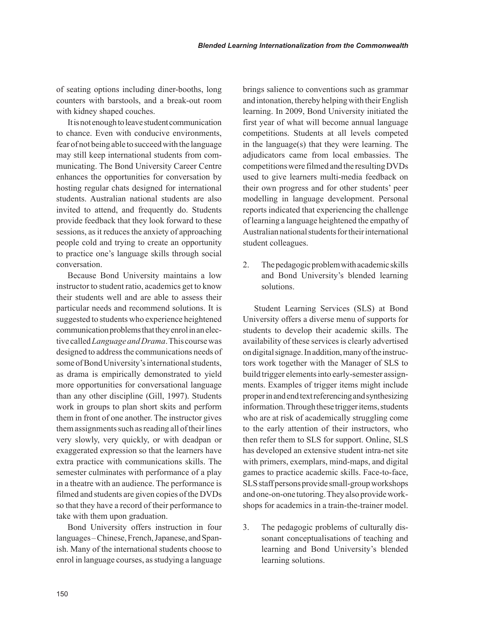of seating options including diner-booths, long counters with barstools, and a break-out room with kidney shaped couches.

It is not enough to leave student communication to chance. Even with conducive environments, fear of not being able to succeed with the language may still keep international students from communicating. The Bond University Career Centre enhances the opportunities for conversation by hosting regular chats designed for international students. Australian national students are also invited to attend, and frequently do. Students provide feedback that they look forward to these sessions, as it reduces the anxiety of approaching people cold and trying to create an opportunity to practice one's language skills through social conversation.

Because Bond University maintains a low instructor to student ratio, academics get to know their students well and are able to assess their particular needs and recommend solutions. It is suggested to students who experience heightened communication problems that they enrol in an elective called *Language and Drama*. This course was designed to address the communications needs of some of Bond University's international students, as drama is empirically demonstrated to yield more opportunities for conversational language than any other discipline (Gill, 1997). Students work in groups to plan short skits and perform them in front of one another. The instructor gives them assignments such as reading all of their lines very slowly, very quickly, or with deadpan or exaggerated expression so that the learners have extra practice with communications skills. The semester culminates with performance of a play in a theatre with an audience. The performance is filmed and students are given copies of the DVDs so that they have a record of their performance to take with them upon graduation.

Bond University offers instruction in four languages – Chinese, French, Japanese, and Spanish. Many of the international students choose to enrol in language courses, as studying a language brings salience to conventions such as grammar and intonation, thereby helping with their English learning. In 2009, Bond University initiated the first year of what will become annual language competitions. Students at all levels competed in the language(s) that they were learning. The adjudicators came from local embassies. The competitions were filmed and the resulting DVDs used to give learners multi-media feedback on their own progress and for other students' peer modelling in language development. Personal reports indicated that experiencing the challenge of learning a language heightened the empathy of Australian national students for their international student colleagues.

2. The pedagogic problem with academic skills and Bond University's blended learning solutions.

Student Learning Services (SLS) at Bond University offers a diverse menu of supports for students to develop their academic skills. The availability of these services is clearly advertised on digital signage. In addition, many of the instructors work together with the Manager of SLS to build trigger elements into early-semester assignments. Examples of trigger items might include proper in and end text referencing and synthesizing information. Through these trigger items, students who are at risk of academically struggling come to the early attention of their instructors, who then refer them to SLS for support. Online, SLS has developed an extensive student intra-net site with primers, exemplars, mind-maps, and digital games to practice academic skills. Face-to-face, SLS staff persons provide small-group workshops and one-on-one tutoring. They also provide workshops for academics in a train-the-trainer model.

3. The pedagogic problems of culturally dissonant conceptualisations of teaching and learning and Bond University's blended learning solutions.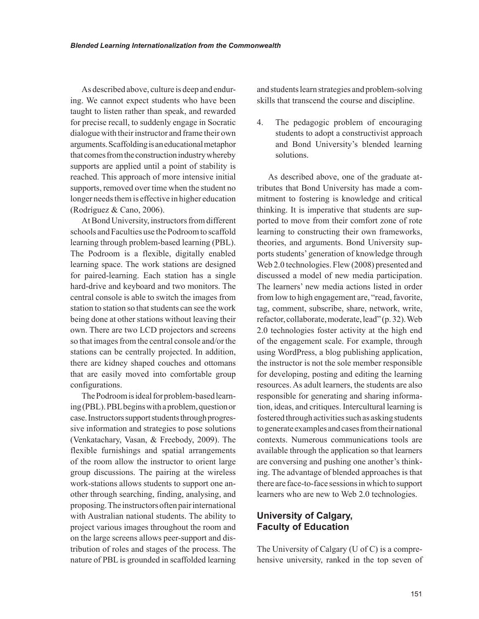As described above, culture is deep and enduring. We cannot expect students who have been taught to listen rather than speak, and rewarded for precise recall, to suddenly engage in Socratic dialogue with their instructor and frame their own arguments. Scaffolding is an educational metaphor that comes from the construction industry whereby supports are applied until a point of stability is reached. This approach of more intensive initial supports, removed over time when the student no longer needs them is effective in higher education (Rodríguez & Cano, 2006).

At Bond University, instructors from different schools and Faculties use the Podroom to scaffold learning through problem-based learning (PBL). The Podroom is a flexible, digitally enabled learning space. The work stations are designed for paired-learning. Each station has a single hard-drive and keyboard and two monitors. The central console is able to switch the images from station to station so that students can see the work being done at other stations without leaving their own. There are two LCD projectors and screens so that images from the central console and/or the stations can be centrally projected. In addition, there are kidney shaped couches and ottomans that are easily moved into comfortable group configurations.

The Podroom is ideal for problem-based learning (PBL). PBL begins with a problem, question or case. Instructors support students through progressive information and strategies to pose solutions (Venkatachary, Vasan, & Freebody, 2009). The flexible furnishings and spatial arrangements of the room allow the instructor to orient large group discussions. The pairing at the wireless work-stations allows students to support one another through searching, finding, analysing, and proposing. The instructors often pair international with Australian national students. The ability to project various images throughout the room and on the large screens allows peer-support and distribution of roles and stages of the process. The nature of PBL is grounded in scaffolded learning and students learn strategies and problem-solving skills that transcend the course and discipline.

4. The pedagogic problem of encouraging students to adopt a constructivist approach and Bond University's blended learning solutions.

As described above, one of the graduate attributes that Bond University has made a commitment to fostering is knowledge and critical thinking. It is imperative that students are supported to move from their comfort zone of rote learning to constructing their own frameworks, theories, and arguments. Bond University supports students' generation of knowledge through Web 2.0 technologies. Flew (2008) presented and discussed a model of new media participation. The learners' new media actions listed in order from low to high engagement are, "read, favorite, tag, comment, subscribe, share, network, write, refactor, collaborate, moderate, lead" (p. 32). Web 2.0 technologies foster activity at the high end of the engagement scale. For example, through using WordPress, a blog publishing application, the instructor is not the sole member responsible for developing, posting and editing the learning resources. As adult learners, the students are also responsible for generating and sharing information, ideas, and critiques. Intercultural learning is fostered through activities such as asking students to generate examples and cases from their national contexts. Numerous communications tools are available through the application so that learners are conversing and pushing one another's thinking. The advantage of blended approaches is that there are face-to-face sessions in which to support learners who are new to Web 2.0 technologies.

#### **university of calgary, Faculty of Education**

The University of Calgary (U of C) is a comprehensive university, ranked in the top seven of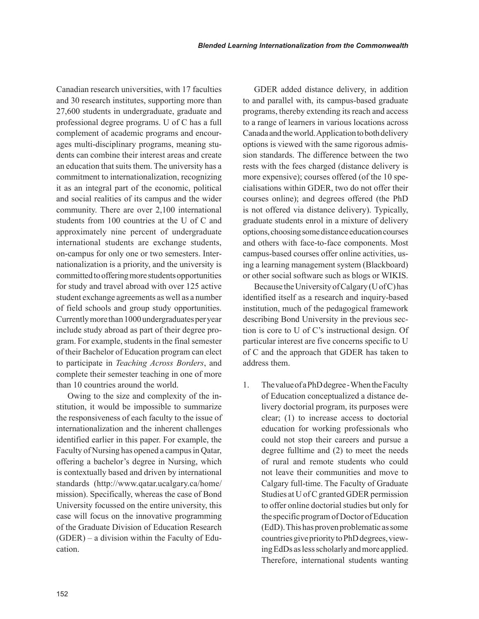Canadian research universities, with 17 faculties and 30 research institutes, supporting more than 27,600 students in undergraduate, graduate and professional degree programs. U of C has a full complement of academic programs and encourages multi-disciplinary programs, meaning students can combine their interest areas and create an education that suits them. The university has a commitment to internationalization, recognizing it as an integral part of the economic, political and social realities of its campus and the wider community. There are over 2,100 international students from 100 countries at the U of C and approximately nine percent of undergraduate international students are exchange students, on-campus for only one or two semesters. Internationalization is a priority, and the university is committed to offering more students opportunities for study and travel abroad with over 125 active student exchange agreements as well as a number of field schools and group study opportunities. Currently more than 1000 undergraduates per year include study abroad as part of their degree program. For example, students in the final semester of their Bachelor of Education program can elect to participate in *Teaching Across Borders*, and complete their semester teaching in one of more than 10 countries around the world.

Owing to the size and complexity of the institution, it would be impossible to summarize the responsiveness of each faculty to the issue of internationalization and the inherent challenges identified earlier in this paper. For example, the Faculty of Nursing has opened a campus in Qatar, offering a bachelor's degree in Nursing, which is contextually based and driven by international standards (http://www.qatar.ucalgary.ca/home/ mission). Specifically, whereas the case of Bond University focussed on the entire university, this case will focus on the innovative programming of the Graduate Division of Education Research (GDER) – a division within the Faculty of Education.

GDER added distance delivery, in addition to and parallel with, its campus-based graduate programs, thereby extending its reach and access to a range of learners in various locations across Canada and the world. Application to both delivery options is viewed with the same rigorous admission standards. The difference between the two rests with the fees charged (distance delivery is more expensive); courses offered (of the 10 specialisations within GDER, two do not offer their courses online); and degrees offered (the PhD is not offered via distance delivery). Typically, graduate students enrol in a mixture of delivery options, choosing some distance education courses and others with face-to-face components. Most campus-based courses offer online activities, using a learning management system (Blackboard) or other social software such as blogs or WIKIS.

Because the University of Calgary (U of C) has identified itself as a research and inquiry-based institution, much of the pedagogical framework describing Bond University in the previous section is core to U of C's instructional design. Of particular interest are five concerns specific to U of C and the approach that GDER has taken to address them.

1. The value of a PhD degree - When the Faculty of Education conceptualized a distance delivery doctorial program, its purposes were clear; (1) to increase access to doctorial education for working professionals who could not stop their careers and pursue a degree fulltime and (2) to meet the needs of rural and remote students who could not leave their communities and move to Calgary full-time. The Faculty of Graduate Studies at U of C granted GDER permission to offer online doctorial studies but only for the specific program of Doctor of Education (EdD). This has proven problematic as some countries give priority to PhD degrees, viewing EdDs as less scholarly and more applied. Therefore, international students wanting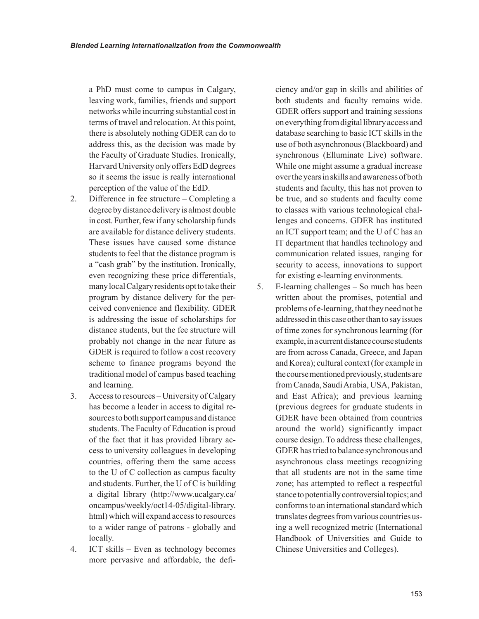a PhD must come to campus in Calgary, leaving work, families, friends and support networks while incurring substantial cost in terms of travel and relocation. At this point, there is absolutely nothing GDER can do to address this, as the decision was made by the Faculty of Graduate Studies. Ironically, Harvard University only offers EdD degrees so it seems the issue is really international perception of the value of the EdD.

- 2. Difference in fee structure Completing a degree by distance delivery is almost double in cost. Further, few if any scholarship funds are available for distance delivery students. These issues have caused some distance students to feel that the distance program is a "cash grab" by the institution. Ironically, even recognizing these price differentials, many local Calgary residents opt to take their program by distance delivery for the perceived convenience and flexibility. GDER is addressing the issue of scholarships for distance students, but the fee structure will probably not change in the near future as GDER is required to follow a cost recovery scheme to finance programs beyond the traditional model of campus based teaching and learning.
- 3. Access to resources University of Calgary has become a leader in access to digital resources to both support campus and distance students. The Faculty of Education is proud of the fact that it has provided library access to university colleagues in developing countries, offering them the same access to the U of C collection as campus faculty and students. Further, the U of C is building a digital library (http://www.ucalgary.ca/ oncampus/weekly/oct14-05/digital-library. html) which will expand access to resources to a wider range of patrons - globally and locally.
- 4. ICT skills Even as technology becomes more pervasive and affordable, the defi-

ciency and/or gap in skills and abilities of both students and faculty remains wide. GDER offers support and training sessions on everything from digital library access and database searching to basic ICT skills in the use of both asynchronous (Blackboard) and synchronous (Elluminate Live) software. While one might assume a gradual increase over the years in skills and awareness of both students and faculty, this has not proven to be true, and so students and faculty come to classes with various technological challenges and concerns. GDER has instituted an ICT support team; and the U of C has an IT department that handles technology and communication related issues, ranging for security to access, innovations to support for existing e-learning environments.

5. E-learning challenges – So much has been written about the promises, potential and problems of e-learning, that they need not be addressed in this case other than to say issues of time zones for synchronous learning (for example, in a current distance course students are from across Canada, Greece, and Japan and Korea); cultural context (for example in the course mentioned previously, students are from Canada, Saudi Arabia, USA, Pakistan, and East Africa); and previous learning (previous degrees for graduate students in GDER have been obtained from countries around the world) significantly impact course design. To address these challenges, GDER has tried to balance synchronous and asynchronous class meetings recognizing that all students are not in the same time zone; has attempted to reflect a respectful stance to potentially controversial topics; and conforms to an international standard which translates degrees from various countries using a well recognized metric (International Handbook of Universities and Guide to Chinese Universities and Colleges).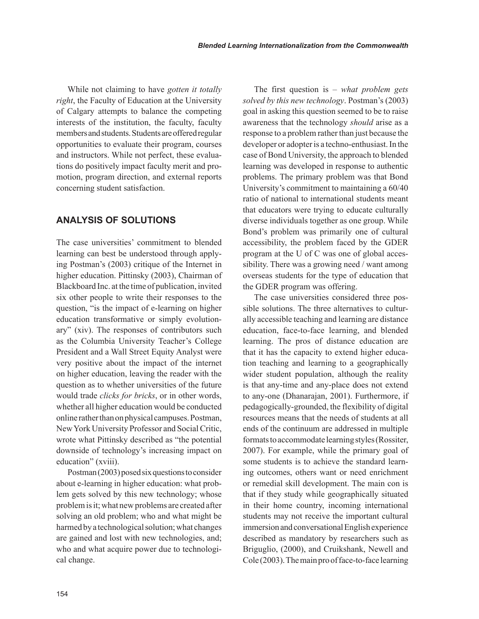While not claiming to have *gotten it totally right*, the Faculty of Education at the University of Calgary attempts to balance the competing interests of the institution, the faculty, faculty members and students. Students are offered regular opportunities to evaluate their program, courses and instructors. While not perfect, these evaluations do positively impact faculty merit and promotion, program direction, and external reports concerning student satisfaction.

#### **anaLysis Of sOLutiOns**

The case universities' commitment to blended learning can best be understood through applying Postman's (2003) critique of the Internet in higher education. Pittinsky (2003), Chairman of Blackboard Inc. at the time of publication, invited six other people to write their responses to the question, "is the impact of e-learning on higher education transformative or simply evolutionary" (xiv). The responses of contributors such as the Columbia University Teacher's College President and a Wall Street Equity Analyst were very positive about the impact of the internet on higher education, leaving the reader with the question as to whether universities of the future would trade *clicks for bricks*, or in other words, whether all higher education would be conducted online rather than on physical campuses. Postman, New York University Professor and Social Critic, wrote what Pittinsky described as "the potential downside of technology's increasing impact on education" (xviii).

Postman (2003) posed six questions to consider about e-learning in higher education: what problem gets solved by this new technology; whose problem is it; what new problems are created after solving an old problem; who and what might be harmed by a technological solution; what changes are gained and lost with new technologies, and; who and what acquire power due to technological change.

The first question is – *what problem gets solved by this new technology*. Postman's (2003) goal in asking this question seemed to be to raise awareness that the technology *should* arise as a response to a problem rather than just because the developer or adopter is a techno-enthusiast. In the case of Bond University, the approach to blended learning was developed in response to authentic problems. The primary problem was that Bond University's commitment to maintaining a 60/40 ratio of national to international students meant that educators were trying to educate culturally diverse individuals together as one group. While Bond's problem was primarily one of cultural accessibility, the problem faced by the GDER program at the U of C was one of global accessibility. There was a growing need / want among overseas students for the type of education that the GDER program was offering.

The case universities considered three possible solutions. The three alternatives to culturally accessible teaching and learning are distance education, face-to-face learning, and blended learning. The pros of distance education are that it has the capacity to extend higher education teaching and learning to a geographically wider student population, although the reality is that any-time and any-place does not extend to any-one (Dhanarajan, 2001). Furthermore, if pedagogically-grounded, the flexibility of digital resources means that the needs of students at all ends of the continuum are addressed in multiple formats to accommodate learning styles (Rossiter, 2007). For example, while the primary goal of some students is to achieve the standard learning outcomes, others want or need enrichment or remedial skill development. The main con is that if they study while geographically situated in their home country, incoming international students may not receive the important cultural immersion and conversational English experience described as mandatory by researchers such as Briguglio, (2000), and Cruikshank, Newell and Cole (2003). The main pro of face-to-face learning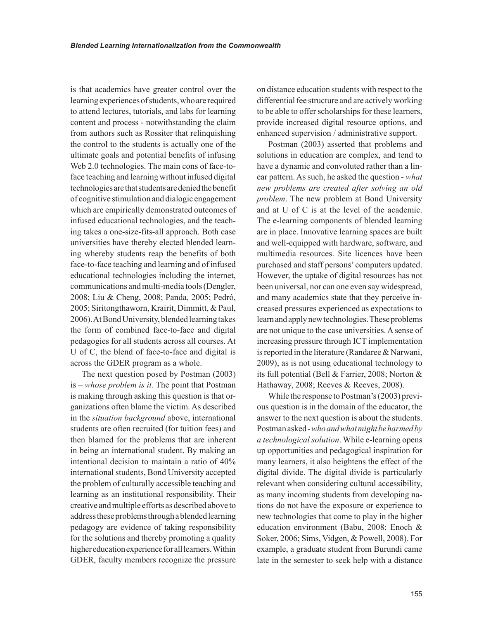is that academics have greater control over the learning experiences of students, who are required to attend lectures, tutorials, and labs for learning content and process - notwithstanding the claim from authors such as Rossiter that relinquishing the control to the students is actually one of the ultimate goals and potential benefits of infusing Web 2.0 technologies. The main cons of face-toface teaching and learning without infused digital technologies are that students are denied the benefit of cognitive stimulation and dialogic engagement which are empirically demonstrated outcomes of infused educational technologies, and the teaching takes a one-size-fits-all approach. Both case universities have thereby elected blended learning whereby students reap the benefits of both face-to-face teaching and learning and of infused educational technologies including the internet, communications and multi-media tools (Dengler, 2008; Liu & Cheng, 2008; Panda, 2005; Pedró, 2005; Siritongthaworn, Krairit, Dimmitt, & Paul, 2006). At Bond University, blended learning takes the form of combined face-to-face and digital pedagogies for all students across all courses. At U of C, the blend of face-to-face and digital is across the GDER program as a whole.

The next question posed by Postman (2003) is – *whose problem is it.* The point that Postman is making through asking this question is that organizations often blame the victim. As described in the *situation background* above, international students are often recruited (for tuition fees) and then blamed for the problems that are inherent in being an international student. By making an intentional decision to maintain a ratio of 40% international students, Bond University accepted the problem of culturally accessible teaching and learning as an institutional responsibility. Their creative and multiple efforts as described above to address these problems through a blended learning pedagogy are evidence of taking responsibility for the solutions and thereby promoting a quality higher education experience for all learners. Within GDER, faculty members recognize the pressure

on distance education students with respect to the differential fee structure and are actively working to be able to offer scholarships for these learners, provide increased digital resource options, and enhanced supervision / administrative support.

Postman (2003) asserted that problems and solutions in education are complex, and tend to have a dynamic and convoluted rather than a linear pattern. As such, he asked the question - *what new problems are created after solving an old problem*. The new problem at Bond University and at U of C is at the level of the academic. The e-learning components of blended learning are in place. Innovative learning spaces are built and well-equipped with hardware, software, and multimedia resources. Site licences have been purchased and staff persons' computers updated. However, the uptake of digital resources has not been universal, nor can one even say widespread, and many academics state that they perceive increased pressures experienced as expectations to learn and apply new technologies. These problems are not unique to the case universities. A sense of increasing pressure through ICT implementation is reported in the literature (Randaree & Narwani, 2009), as is not using educational technology to its full potential (Bell & Farrier, 2008; Norton & Hathaway, 2008; Reeves & Reeves, 2008).

While the response to Postman's (2003) previous question is in the domain of the educator, the answer to the next question is about the students. Postman asked - *who and what might be harmed by a technological solution*. While e-learning opens up opportunities and pedagogical inspiration for many learners, it also heightens the effect of the digital divide. The digital divide is particularly relevant when considering cultural accessibility, as many incoming students from developing nations do not have the exposure or experience to new technologies that come to play in the higher education environment (Babu, 2008; Enoch & Soker, 2006; Sims, Vidgen, & Powell, 2008). For example, a graduate student from Burundi came late in the semester to seek help with a distance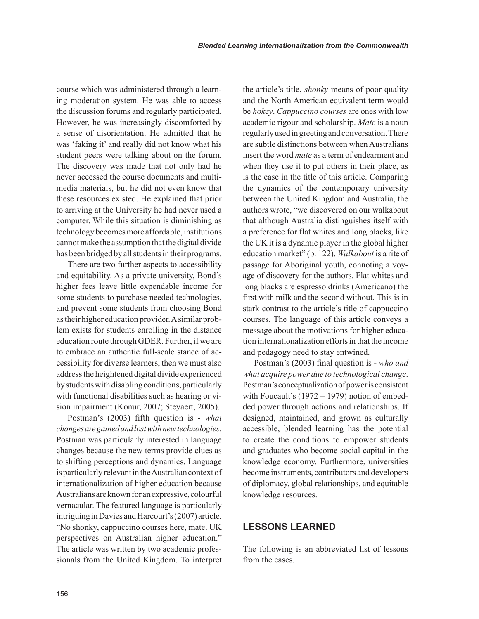course which was administered through a learning moderation system. He was able to access the discussion forums and regularly participated. However, he was increasingly discomforted by a sense of disorientation. He admitted that he was 'faking it' and really did not know what his student peers were talking about on the forum. The discovery was made that not only had he never accessed the course documents and multimedia materials, but he did not even know that these resources existed. He explained that prior to arriving at the University he had never used a computer. While this situation is diminishing as technology becomes more affordable, institutions cannot make the assumption that the digital divide has been bridged by all students in their programs.

There are two further aspects to accessibility and equitability. As a private university, Bond's higher fees leave little expendable income for some students to purchase needed technologies, and prevent some students from choosing Bond as their higher education provider. A similar problem exists for students enrolling in the distance education route through GDER. Further, if we are to embrace an authentic full-scale stance of accessibility for diverse learners, then we must also address the heightened digital divide experienced by students with disabling conditions, particularly with functional disabilities such as hearing or vision impairment (Konur, 2007; Steyaert, 2005).

Postman's (2003) fifth question is - *what changes are gained and lost with new technologies*. Postman was particularly interested in language changes because the new terms provide clues as to shifting perceptions and dynamics. Language is particularly relevant in the Australian context of internationalization of higher education because Australians are known for an expressive, colourful vernacular. The featured language is particularly intriguing in Davies and Harcourt's (2007) article, "No shonky, cappuccino courses here, mate. UK perspectives on Australian higher education." The article was written by two academic professionals from the United Kingdom. To interpret the article's title, *shonky* means of poor quality and the North American equivalent term would be *hokey*. *Cappuccino courses* are ones with low academic rigour and scholarship. *Mate* is a noun regularly used in greeting and conversation. There are subtle distinctions between when Australians insert the word *mate* as a term of endearment and when they use it to put others in their place, as is the case in the title of this article. Comparing the dynamics of the contemporary university between the United Kingdom and Australia, the authors wrote, "we discovered on our walkabout that although Australia distinguishes itself with a preference for flat whites and long blacks, like the UK it is a dynamic player in the global higher education market" (p. 122). *Walkabout* is a rite of passage for Aboriginal youth, connoting a voyage of discovery for the authors. Flat whites and long blacks are espresso drinks (Americano) the first with milk and the second without. This is in stark contrast to the article's title of cappuccino courses. The language of this article conveys a message about the motivations for higher education internationalization efforts in that the income and pedagogy need to stay entwined.

Postman's (2003) final question is - *who and what acquire power due to technological change*. Postman's conceptualization of power is consistent with Foucault's (1972 – 1979) notion of embedded power through actions and relationships. If designed, maintained, and grown as culturally accessible, blended learning has the potential to create the conditions to empower students and graduates who become social capital in the knowledge economy. Furthermore, universities become instruments, contributors and developers of diplomacy, global relationships, and equitable knowledge resources.

#### **LessOns LeaRneD**

The following is an abbreviated list of lessons from the cases.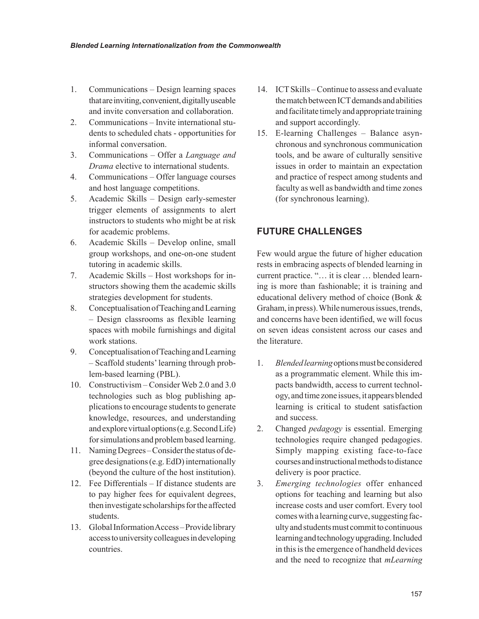- 1. Communications Design learning spaces that are inviting, convenient, digitally useable and invite conversation and collaboration.
- 2. Communications Invite international students to scheduled chats - opportunities for informal conversation.
- 3. Communications Offer a *Language and Drama* elective to international students.
- 4. Communications Offer language courses and host language competitions.
- 5. Academic Skills Design early-semester trigger elements of assignments to alert instructors to students who might be at risk for academic problems.
- 6. Academic Skills Develop online, small group workshops, and one-on-one student tutoring in academic skills.
- 7. Academic Skills Host workshops for instructors showing them the academic skills strategies development for students.
- 8. Conceptualisation of Teaching and Learning – Design classrooms as flexible learning spaces with mobile furnishings and digital work stations.
- 9. Conceptualisation of Teaching and Learning – Scaffold students' learning through problem-based learning (PBL).
- 10. Constructivism Consider Web 2.0 and 3.0 technologies such as blog publishing applications to encourage students to generate knowledge, resources, and understanding and explore virtual options (e.g. Second Life) for simulations and problem based learning.
- 11. Naming Degrees Consider the status of degree designations (e.g. EdD) internationally (beyond the culture of the host institution).
- 12. Fee Differentials If distance students are to pay higher fees for equivalent degrees, then investigate scholarships for the affected students.
- 13. Global Information Access Provide library access to university colleagues in developing countries.
- 14. ICT Skills Continue to assess and evaluate the match between ICT demands and abilities and facilitate timely and appropriate training and support accordingly.
- 15. E-learning Challenges Balance asynchronous and synchronous communication tools, and be aware of culturally sensitive issues in order to maintain an expectation and practice of respect among students and faculty as well as bandwidth and time zones (for synchronous learning).

#### **futuRe chaLLenGes**

Few would argue the future of higher education rests in embracing aspects of blended learning in current practice. "… it is clear … blended learning is more than fashionable; it is training and educational delivery method of choice (Bonk & Graham, in press). While numerous issues, trends, and concerns have been identified, we will focus on seven ideas consistent across our cases and the literature.

- 1. *Blended learning* options must be considered as a programmatic element. While this impacts bandwidth, access to current technology, and time zone issues, it appears blended learning is critical to student satisfaction and success.
- 2. Changed *pedagogy* is essential. Emerging technologies require changed pedagogies. Simply mapping existing face-to-face courses and instructional methods to distance delivery is poor practice.
- 3. *Emerging technologies* offer enhanced options for teaching and learning but also increase costs and user comfort. Every tool comes with a learning curve, suggesting faculty and students must commit to continuous learning and technology upgrading. Included in this is the emergence of handheld devices and the need to recognize that *mLearning*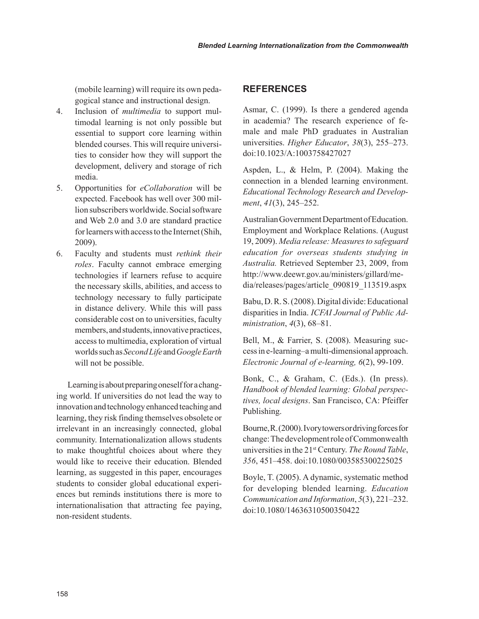(mobile learning) will require its own pedagogical stance and instructional design.

- 4. Inclusion of *multimedia* to support multimodal learning is not only possible but essential to support core learning within blended courses. This will require universities to consider how they will support the development, delivery and storage of rich media.
- 5. Opportunities for *eCollaboration* will be expected. Facebook has well over 300 million subscribers worldwide. Social software and Web 2.0 and 3.0 are standard practice for learners with access to the Internet (Shih, 2009).
- 6. Faculty and students must *rethink their roles*. Faculty cannot embrace emerging technologies if learners refuse to acquire the necessary skills, abilities, and access to technology necessary to fully participate in distance delivery. While this will pass considerable cost on to universities, faculty members, and students, innovative practices, access to multimedia, exploration of virtual worlds such as *Second Life* and *Google Earth* will not be possible.

Learning is about preparing oneself for a changing world. If universities do not lead the way to innovation and technology enhanced teaching and learning, they risk finding themselves obsolete or irrelevant in an increasingly connected, global community. Internationalization allows students to make thoughtful choices about where they would like to receive their education. Blended learning, as suggested in this paper, encourages students to consider global educational experiences but reminds institutions there is more to internationalisation that attracting fee paying, non-resident students.

#### **RefeRences**

Asmar, C. (1999). Is there a gendered agenda in academia? The research experience of female and male PhD graduates in Australian universities. *Higher Educator*, *38*(3), 255–273. doi:10.1023/A:1003758427027

Aspden, L., & Helm, P. (2004). Making the connection in a blended learning environment. *Educational Technology Research and Development*, *41*(3), 245–252.

Australian Government Department of Education. Employment and Workplace Relations. (August 19, 2009). *Media release: Measures to safeguard education for overseas students studying in Australia.* Retrieved September 23, 2009, from http://www.deewr.gov.au/ministers/gillard/media/releases/pages/article\_090819\_113519.aspx

Babu, D. R. S. (2008). Digital divide: Educational disparities in India. *ICFAI Journal of Public Administration*, *4*(3), 68–81.

Bell, M., & Farrier, S. (2008). Measuring success in e-learning–a multi-dimensional approach. *Electronic Journal of e-learning, 6*(2), 99-109.

Bonk, C., & Graham, C. (Eds.). (In press). *Handbook of blended learning: Global perspectives, local designs*. San Francisco, CA: Pfeiffer Publishing.

Bourne, R. (2000). Ivory towers or driving forces for change: The development role of Commonwealth universities in the 21st Century. *The Round Table*, *356*, 451–458. doi:10.1080/003585300225025

Boyle, T. (2005). A dynamic, systematic method for developing blended learning. *Education Communication and Information*, *5*(3), 221–232. doi:10.1080/14636310500350422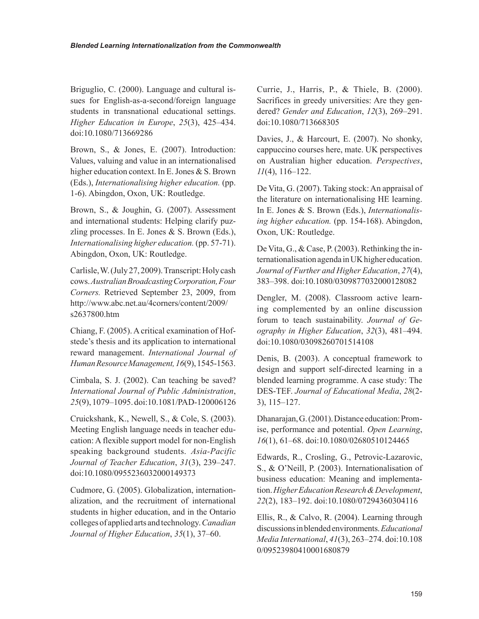Briguglio, C. (2000). Language and cultural issues for English-as-a-second/foreign language students in transnational educational settings. *Higher Education in Europe*, *25*(3), 425–434. doi:10.1080/713669286

Brown, S., & Jones, E. (2007). Introduction: Values, valuing and value in an internationalised higher education context. In E. Jones & S. Brown (Eds.), *Internationalising higher education.* (pp. 1-6). Abingdon, Oxon, UK: Routledge.

Brown, S., & Joughin, G. (2007). Assessment and international students: Helping clarify puzzling processes. In E. Jones & S. Brown (Eds.), *Internationalising higher education.* (pp. 57-71). Abingdon, Oxon, UK: Routledge.

Carlisle, W. (July 27, 2009). Transcript: Holy cash cows. *Australian Broadcasting Corporation, Four Corners.* Retrieved September 23, 2009, from http://www.abc.net.au/4corners/content/2009/ s2637800.htm

Chiang, F. (2005). A critical examination of Hofstede's thesis and its application to international reward management. *International Journal of Human Resource Management, 16*(9), 1545-1563.

Cimbala, S. J. (2002). Can teaching be saved? *International Journal of Public Administration*, *25*(9), 1079–1095. doi:10.1081/PAD-120006126

Cruickshank, K., Newell, S., & Cole, S. (2003). Meeting English language needs in teacher education: A flexible support model for non-English speaking background students. *Asia-Pacific Journal of Teacher Education*, *31*(3), 239–247. doi:10.1080/0955236032000149373

Cudmore, G. (2005). Globalization, internationalization, and the recruitment of international students in higher education, and in the Ontario colleges of applied arts and technology. *Canadian Journal of Higher Education*, *35*(1), 37–60.

Currie, J., Harris, P., & Thiele, B. (2000). Sacrifices in greedy universities: Are they gendered? *Gender and Education*, *12*(3), 269–291. doi:10.1080/713668305

Davies, J., & Harcourt, E. (2007). No shonky, cappuccino courses here, mate. UK perspectives on Australian higher education. *Perspectives*, *11*(4), 116–122.

De Vita, G. (2007). Taking stock: An appraisal of the literature on internationalising HE learning. In E. Jones & S. Brown (Eds.), *Internationalising higher education.* (pp. 154-168). Abingdon, Oxon, UK: Routledge.

De Vita, G., & Case, P. (2003). Rethinking the internationalisation agenda in UK higher education. *Journal of Further and Higher Education*, *27*(4), 383–398. doi:10.1080/0309877032000128082

Dengler, M. (2008). Classroom active learning complemented by an online discussion forum to teach sustainability. *Journal of Geography in Higher Education*, *32*(3), 481–494. doi:10.1080/03098260701514108

Denis, B. (2003). A conceptual framework to design and support self-directed learning in a blended learning programme. A case study: The DES-TEF. *Journal of Educational Media*, *28*(2- 3), 115–127.

Dhanarajan, G. (2001). Distance education: Promise, performance and potential. *Open Learning*, *16*(1), 61–68. doi:10.1080/02680510124465

Edwards, R., Crosling, G., Petrovic-Lazarovic, S., & O'Neill, P. (2003). Internationalisation of business education: Meaning and implementation. *Higher Education Research & Development*, *22*(2), 183–192. doi:10.1080/07294360304116

Ellis, R., & Calvo, R. (2004). Learning through discussions in blended environments. *Educational Media International*, *41*(3), 263–274. doi:10.108 0/09523980410001680879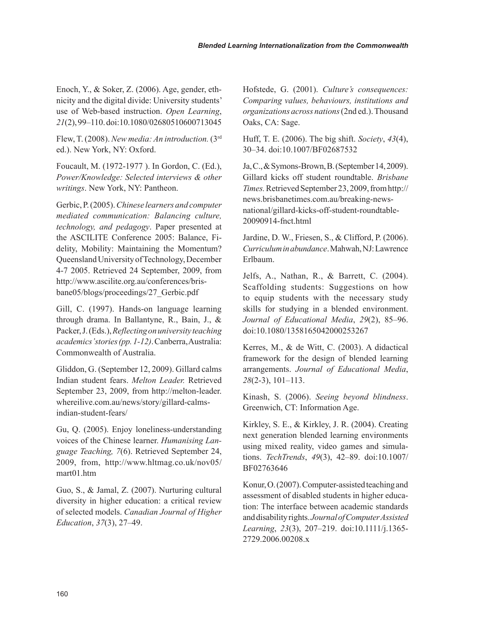Enoch, Y., & Soker, Z. (2006). Age, gender, ethnicity and the digital divide: University students' use of Web-based instruction. *Open Learning*, *21*(2), 99–110. doi:10.1080/02680510600713045

Flew, T. (2008). *New media: An introduction.* (3rd ed.). New York, NY: Oxford.

Foucault, M. (1972-1977 ). In Gordon, C. (Ed.), *Power/Knowledge: Selected interviews & other writings*. New York, NY: Pantheon.

Gerbic, P. (2005). *Chinese learners and computer mediated communication: Balancing culture, technology, and pedagogy*. Paper presented at the ASCILITE Conference 2005: Balance, Fidelity, Mobility: Maintaining the Momentum? Queensland University of Technology, December 4-7 2005. Retrieved 24 September, 2009, from http://www.ascilite.org.au/conferences/brisbane05/blogs/proceedings/27\_Gerbic.pdf

Gill, C. (1997). Hands-on language learning through drama. In Ballantyne, R., Bain, J., & Packer, J. (Eds.), *Reflecting on university teaching academics' stories (pp. 1-12)*. Canberra, Australia: Commonwealth of Australia.

Gliddon, G. (September 12, 2009). Gillard calms Indian student fears. *Melton Leader.* Retrieved September 23, 2009, from http://melton-leader. whereilive.com.au/news/story/gillard-calmsindian-student-fears/

Gu, Q. (2005). Enjoy loneliness-understanding voices of the Chinese learner. *Humanising Language Teaching, 7*(6). Retrieved September 24, 2009, from, http://www.hltmag.co.uk/nov05/ mart01.htm

Guo, S., & Jamal, Z. (2007). Nurturing cultural diversity in higher education: a critical review of selected models. *Canadian Journal of Higher Education*, *37*(3), 27–49.

Hofstede, G. (2001). *Culture's consequences: Comparing values, behaviours, institutions and organizations across nations* (2nd ed.). Thousand Oaks, CA: Sage.

Huff, T. E. (2006). The big shift. *Society*, *43*(4), 30–34. doi:10.1007/BF02687532

Ja, C., & Symons-Brown, B. (September 14, 2009). Gillard kicks off student roundtable. *Brisbane Times.* Retrieved September 23, 2009, from http:// news.brisbanetimes.com.au/breaking-newsnational/gillard-kicks-off-student-roundtable-20090914-fnct.html

Jardine, D. W., Friesen, S., & Clifford, P. (2006). *Curriculum in abundance*. Mahwah, NJ: Lawrence Erlbaum.

Jelfs, A., Nathan, R., & Barrett, C. (2004). Scaffolding students: Suggestions on how to equip students with the necessary study skills for studying in a blended environment. *Journal of Educational Media*, *29*(2), 85–96. doi:10.1080/1358165042000253267

Kerres, M., & de Witt, C. (2003). A didactical framework for the design of blended learning arrangements. *Journal of Educational Media*, *28*(2-3), 101–113.

Kinash, S. (2006). *Seeing beyond blindness*. Greenwich, CT: Information Age.

Kirkley, S. E., & Kirkley, J. R. (2004). Creating next generation blended learning environments using mixed reality, video games and simulations. *TechTrends*, *49*(3), 42–89. doi:10.1007/ BF02763646

Konur, O. (2007). Computer-assisted teaching and assessment of disabled students in higher education: The interface between academic standards and disability rights. *Journal of Computer Assisted Learning*, *23*(3), 207–219. doi:10.1111/j.1365- 2729.2006.00208.x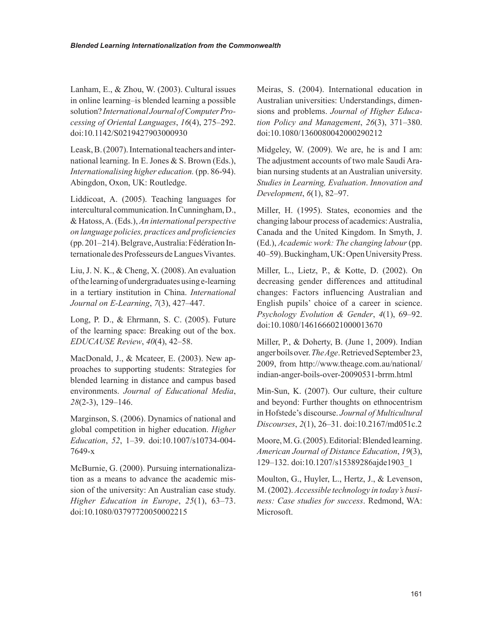Lanham, E., & Zhou, W. (2003). Cultural issues in online learning–is blended learning a possible solution? *International Journal of Computer Processing of Oriental Languages*, *16*(4), 275–292. doi:10.1142/S0219427903000930

Leask, B. (2007). International teachers and international learning. In E. Jones & S. Brown (Eds.), *Internationalising higher education.* (pp. 86-94). Abingdon, Oxon, UK: Routledge.

Liddicoat, A. (2005). Teaching languages for intercultural communication. In Cunningham, D., & Hatoss, A. (Eds.), *An international perspective on language policies, practices and proficiencies* (pp. 201–214). Belgrave, Australia: Fédération Internationale des Professeurs de Langues Vivantes.

Liu, J. N. K., & Cheng, X. (2008). An evaluation of the learning of undergraduates using e-learning in a tertiary institution in China. *International Journal on E-Learning*, *7*(3), 427–447.

Long, P. D., & Ehrmann, S. C. (2005). Future of the learning space: Breaking out of the box. *EDUCAUSE Review*, *40*(4), 42–58.

MacDonald, J., & Mcateer, E. (2003). New approaches to supporting students: Strategies for blended learning in distance and campus based environments. *Journal of Educational Media*, *28*(2-3), 129–146.

Marginson, S. (2006). Dynamics of national and global competition in higher education. *Higher Education*, *52*, 1–39. doi:10.1007/s10734-004- 7649-x

McBurnie, G. (2000). Pursuing internationalization as a means to advance the academic mission of the university: An Australian case study. *Higher Education in Europe*, *25*(1), 63–73. doi:10.1080/03797720050002215

Meiras, S. (2004). International education in Australian universities: Understandings, dimensions and problems. *Journal of Higher Education Policy and Management*, *26*(3), 371–380. doi:10.1080/1360080042000290212

Midgeley, W. (2009). We are, he is and I am: The adjustment accounts of two male Saudi Arabian nursing students at an Australian university. *Studies in Learning, Evaluation*. *Innovation and Development*, *6*(1), 82–97.

Miller, H. (1995). States, economies and the changing labour process of academics: Australia, Canada and the United Kingdom. In Smyth, J. (Ed.), *Academic work: The changing labour* (pp. 40–59). Buckingham, UK: Open University Press.

Miller, L., Lietz, P., & Kotte, D. (2002). On decreasing gender differences and attitudinal changes: Factors influencing Australian and English pupils' choice of a career in science. *Psychology Evolution & Gender*, *4*(1), 69–92. doi:10.1080/1461666021000013670

Miller, P., & Doherty, B. (June 1, 2009). Indian anger boils over. *The Age*. Retrieved September 23, 2009, from http://www.theage.com.au/national/ indian-anger-boils-over-20090531-brrm.html

Min-Sun, K. (2007). Our culture, their culture and beyond: Further thoughts on ethnocentrism in Hofstede's discourse. *Journal of Multicultural Discourses*, *2*(1), 26–31. doi:10.2167/md051c.2

Moore, M. G. (2005). Editorial: Blended learning. *American Journal of Distance Education*, *19*(3), 129–132. doi:10.1207/s15389286ajde1903\_1

Moulton, G., Huyler, L., Hertz, J., & Levenson, M. (2002). *Accessible technology in today's business: Case studies for success*. Redmond, WA: Microsoft.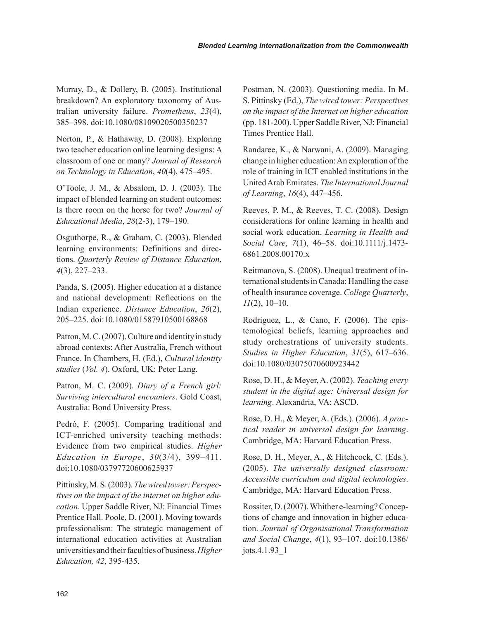Murray, D., & Dollery, B. (2005). Institutional breakdown? An exploratory taxonomy of Australian university failure. *Prometheus*, *23*(4), 385–398. doi:10.1080/08109020500350237

Norton, P., & Hathaway, D. (2008). Exploring two teacher education online learning designs: A classroom of one or many? *Journal of Research on Technology in Education*, *40*(4), 475–495.

O'Toole, J. M., & Absalom, D. J. (2003). The impact of blended learning on student outcomes: Is there room on the horse for two? *Journal of Educational Media*, *28*(2-3), 179–190.

Osguthorpe, R., & Graham, C. (2003). Blended learning environments: Definitions and directions. *Quarterly Review of Distance Education*, *4*(3), 227–233.

Panda, S. (2005). Higher education at a distance and national development: Reflections on the Indian experience. *Distance Education*, *26*(2), 205–225. doi:10.1080/01587910500168868

Patron, M. C. (2007). Culture and identity in study abroad contexts: After Australia, French without France. In Chambers, H. (Ed.), *Cultural identity studies* (*Vol. 4*). Oxford, UK: Peter Lang.

Patron, M. C. (2009). *Diary of a French girl: Surviving intercultural encounters*. Gold Coast, Australia: Bond University Press.

Pedró, F. (2005). Comparing traditional and ICT-enriched university teaching methods: Evidence from two empirical studies. *Higher Education in Europe*, *30*(3/4), 399–411. doi:10.1080/03797720600625937

Pittinsky, M. S. (2003). *The wired tower: Perspectives on the impact of the internet on higher education.* Upper Saddle River, NJ: Financial Times Prentice Hall. Poole, D. (2001). Moving towards professionalism: The strategic management of international education activities at Australian universities and their faculties of business. *Higher Education, 42*, 395-435.

Postman, N. (2003). Questioning media. In M. S. Pittinsky (Ed.), *The wired tower: Perspectives on the impact of the Internet on higher education* (pp. 181-200). Upper Saddle River, NJ: Financial Times Prentice Hall.

Randaree, K., & Narwani, A. (2009). Managing change in higher education: An exploration of the role of training in ICT enabled institutions in the United Arab Emirates. *The International Journal of Learning*, *16*(4), 447–456.

Reeves, P. M., & Reeves, T. C. (2008). Design considerations for online learning in health and social work education. *Learning in Health and Social Care*, *7*(1), 46–58. doi:10.1111/j.1473- 6861.2008.00170.x

Reitmanova, S. (2008). Unequal treatment of international students in Canada: Handling the case of health insurance coverage. *College Quarterly*, *11*(2), 10–10.

Rodríguez, L., & Cano, F. (2006). The epistemological beliefs, learning approaches and study orchestrations of university students. *Studies in Higher Education*, *31*(5), 617–636. doi:10.1080/03075070600923442

Rose, D. H., & Meyer, A. (2002). *Teaching every student in the digital age: Universal design for learning*. Alexandria, VA: ASCD.

Rose, D. H., & Meyer, A. (Eds.). (2006). *A practical reader in universal design for learning*. Cambridge, MA: Harvard Education Press.

Rose, D. H., Meyer, A., & Hitchcock, C. (Eds.). (2005). *The universally designed classroom: Accessible curriculum and digital technologies*. Cambridge, MA: Harvard Education Press.

Rossiter, D. (2007). Whither e-learning? Conceptions of change and innovation in higher education. *Journal of Organisational Transformation and Social Change*, *4*(1), 93–107. doi:10.1386/ jots.4.1.93\_1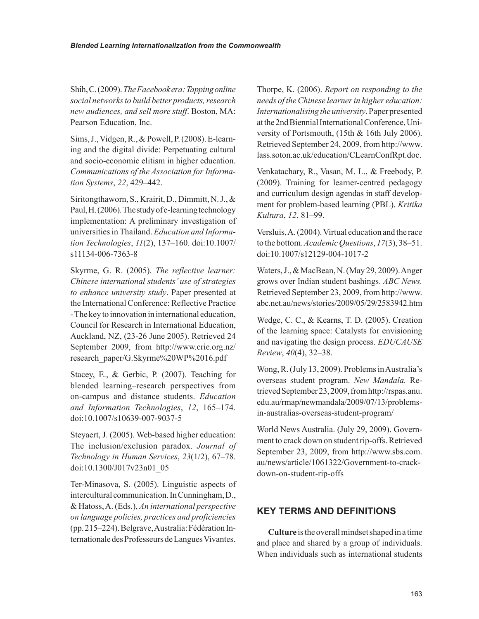Shih, C. (2009). *The Facebook era: Tapping online social networks to build better products, research new audiences, and sell more stuff*. Boston, MA: Pearson Education, Inc.

Sims, J., Vidgen, R., & Powell, P. (2008). E-learning and the digital divide: Perpetuating cultural and socio-economic elitism in higher education. *Communications of the Association for Information Systems*, *22*, 429–442.

Siritongthaworn, S., Krairit, D., Dimmitt, N. J., & Paul, H. (2006). The study of e-learning technology implementation: A preliminary investigation of universities in Thailand. *Education and Information Technologies*, *11*(2), 137–160. doi:10.1007/ s11134-006-7363-8

Skyrme, G. R. (2005). *The reflective learner: Chinese international students' use of strategies to enhance university study*. Paper presented at the International Conference: Reflective Practice - The key to innovation in international education, Council for Research in International Education, Auckland, NZ, (23-26 June 2005). Retrieved 24 September 2009, from http://www.crie.org.nz/ research\_paper/G.Skyrme%20WP%2016.pdf

Stacey, E., & Gerbic, P. (2007). Teaching for blended learning–research perspectives from on-campus and distance students. *Education and Information Technologies*, *12*, 165–174. doi:10.1007/s10639-007-9037-5

Steyaert, J. (2005). Web-based higher education: The inclusion/exclusion paradox. *Journal of Technology in Human Services*, *23*(1/2), 67–78. doi:10.1300/J017v23n01\_05

Ter-Minasova, S. (2005). Linguistic aspects of intercultural communication. In Cunningham, D., & Hatoss, A. (Eds.), *An international perspective on language policies, practices and proficiencies* (pp. 215–224). Belgrave, Australia: Fédération Internationale des Professeurs de Langues Vivantes.

Thorpe, K. (2006). *Report on responding to the needs of the Chinese learner in higher education: Internationalising the university*. Paper presented at the 2nd Biennial International Conference, University of Portsmouth, (15th & 16th July 2006). Retrieved September 24, 2009, from http://www. lass.soton.ac.uk/education/CLearnConfRpt.doc.

Venkatachary, R., Vasan, M. L., & Freebody, P. (2009). Training for learner-centred pedagogy and curriculum design agendas in staff development for problem-based learning (PBL). *Kritika Kultura*, *12*, 81–99.

Versluis, A. (2004). Virtual education and the race to the bottom. *Academic Questions*, *17*(3), 38–51. doi:10.1007/s12129-004-1017-2

Waters, J., & MacBean, N. (May 29, 2009). Anger grows over Indian student bashings. *ABC News.* Retrieved September 23, 2009, from http://www. abc.net.au/news/stories/2009/05/29/2583942.htm

Wedge, C. C., & Kearns, T. D. (2005). Creation of the learning space: Catalysts for envisioning and navigating the design process. *EDUCAUSE Review*, *40*(4), 32–38.

Wong, R. (July 13, 2009). Problems in Australia's overseas student program. *New Mandala.* Retrieved September 23, 2009, from http://rspas.anu. edu.au/rmap/newmandala/2009/07/13/problemsin-australias-overseas-student-program/

World News Australia. (July 29, 2009). Government to crack down on student rip-offs. Retrieved September 23, 2009, from http://www.sbs.com. au/news/article/1061322/Government-to-crackdown-on-student-rip-offs

#### **Key teRms anD DefinitiOns**

**Culture** is the overall mindset shaped in a time and place and shared by a group of individuals. When individuals such as international students